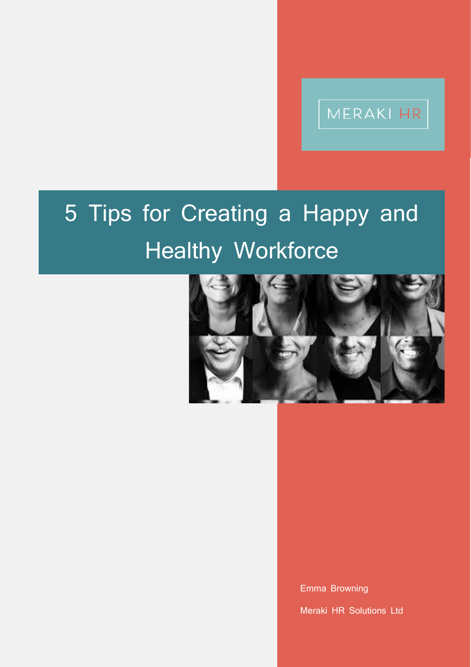# MERAKI HR

# 5 Tips for Creating a Happy and Healthy Workforce



 $\overline{\phantom{a}}$ 

Emma Browning

Meraki HR Solutions Ltd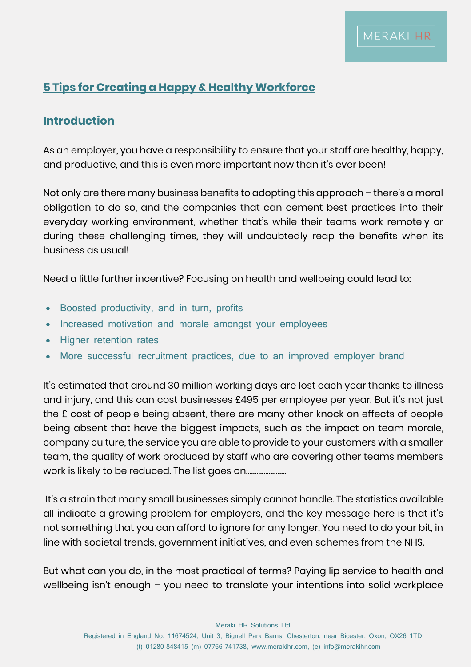### **5 Tips for Creating a Happy & Healthy Workforce**

#### **Introduction**

As an employer, you have a responsibility to ensure that your staff are healthy, happy, and productive, and this is even more important now than it's ever been!

Not only are there many business benefits to adopting this approach – there's a moral obligation to do so, and the companies that can cement best practices into their everyday working environment, whether that's while their teams work remotely or during these challenging times, they will undoubtedly reap the benefits when its business as usual!

Need a little further incentive? Focusing on health and wellbeing could lead to:

- Boosted productivity, and in turn, profits
- Increased motivation and morale amongst your employees
- Higher retention rates
- More successful recruitment practices, due to an improved employer brand

It's estimated that around 30 million working days are lost each year thanks to illness and injury, and this can cost businesses £495 per employee per year. But it's not just the £ cost of people being absent, there are many other knock on effects of people being absent that have the biggest impacts, such as the impact on team morale, company culture, the service you are able to provide to your customers with a smaller team, the quality of work produced by staff who are covering other teams members work is likely to be reduced. The list goes on...................................

It's a strain that many small businesses simply cannot handle. The statistics available all indicate a growing problem for employers, and the key message here is that it's not something that you can afford to ignore for any longer. You need to do your bit, in line with societal trends, government initiatives, and even schemes from the NHS.

But what can you do, in the most practical of terms? Paying lip service to health and wellbeing isn't enough – you need to translate your intentions into solid workplace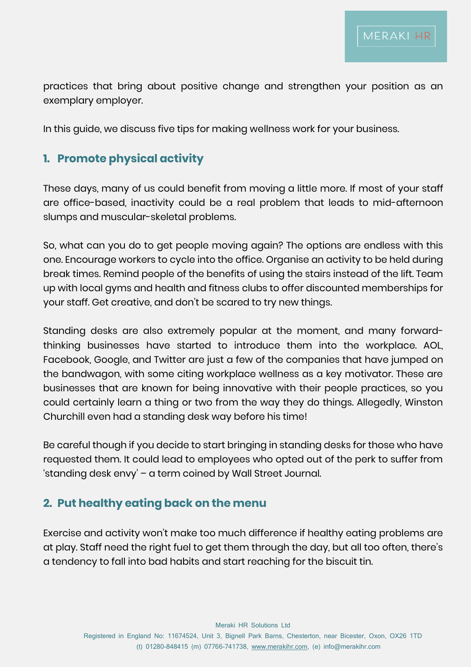practices that bring about positive change and strengthen your position as an exemplary employer.

In this guide, we discuss five tips for making wellness work for your business.

#### **1. Promote physical activity**

These days, many of us could benefit from moving a little more. If most of your staff are office-based, inactivity could be a real problem that leads to mid-afternoon slumps and muscular-skeletal problems.

So, what can you do to get people moving again? The options are endless with this one. Encourage workers to cycle into the office. Organise an activity to be held during break times. Remind people of the benefits of using the stairs instead of the lift. Team up with local gyms and health and fitness clubs to offer discounted memberships for your staff. Get creative, and don't be scared to try new things.

Standing desks are also extremely popular at the moment, and many forwardthinking businesses have started to introduce them into the workplace. AOL, Facebook, Google, and Twitter are just a few of the companies that have jumped on the bandwagon, with some citing workplace wellness as a key motivator. These are businesses that are known for being innovative with their people practices, so you could certainly learn a thing or two from the way they do things. Allegedly, Winston Churchill even had a standing desk way before his time!

Be careful though if you decide to start bringing in standing desks for those who have requested them. It could lead to employees who opted out of the perk to suffer from 'standing desk envy' – a term coined by Wall Street Journal.

#### **2. Put healthy eating back on the menu**

Exercise and activity won't make too much difference if healthy eating problems are at play. Staff need the right fuel to get them through the day, but all too often, there's a tendency to fall into bad habits and start reaching for the biscuit tin.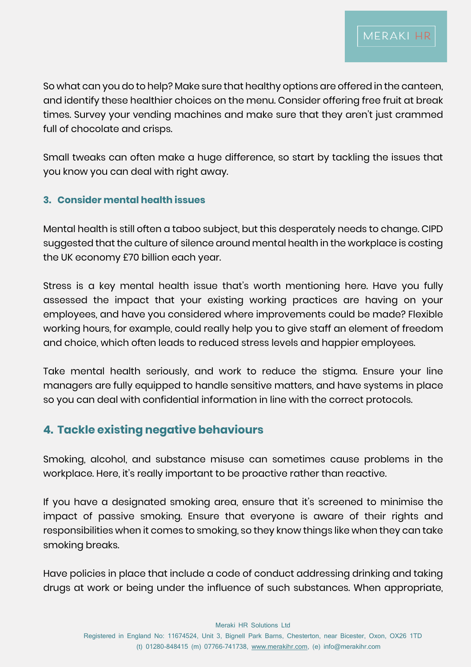So what can you do to help? Make sure that healthy options are offered in the canteen, and identify these healthier choices on the menu. Consider offering free fruit at break times. Survey your vending machines and make sure that they aren't just crammed full of chocolate and crisps.

Small tweaks can often make a huge difference, so start by tackling the issues that you know you can deal with right away.

#### **3. Consider mental health issues**

Mental health is still often a taboo subject, but this desperately needs to change. CIPD suggested that the culture of silence around mental health in the workplace is costing the UK economy £70 billion each year.

Stress is a key mental health issue that's worth mentioning here. Have you fully assessed the impact that your existing working practices are having on your employees, and have you considered where improvements could be made? Flexible working hours, for example, could really help you to give staff an element of freedom and choice, which often leads to reduced stress levels and happier employees.

Take mental health seriously, and work to reduce the stigma. Ensure your line managers are fully equipped to handle sensitive matters, and have systems in place so you can deal with confidential information in line with the correct protocols.

#### **4. Tackle existing negative behaviours**

Smoking, alcohol, and substance misuse can sometimes cause problems in the workplace. Here, it's really important to be proactive rather than reactive.

If you have a designated smoking area, ensure that it's screened to minimise the impact of passive smoking. Ensure that everyone is aware of their rights and responsibilities when it comes to smoking, so they know things like when they can take smoking breaks.

Have policies in place that include a code of conduct addressing drinking and taking drugs at work or being under the influence of such substances. When appropriate,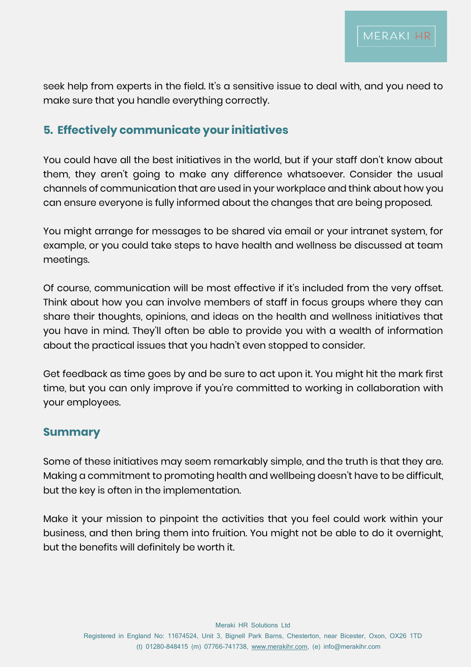seek help from experts in the field. It's a sensitive issue to deal with, and you need to make sure that you handle everything correctly.

## **5. Effectively communicate your initiatives**

You could have all the best initiatives in the world, but if your staff don't know about them, they aren't going to make any difference whatsoever. Consider the usual channels of communication that are used in your workplace and think about how you can ensure everyone is fully informed about the changes that are being proposed.

You might arrange for messages to be shared via email or your intranet system, for example, or you could take steps to have health and wellness be discussed at team meetings.

Of course, communication will be most effective if it's included from the very offset. Think about how you can involve members of staff in focus groups where they can share their thoughts, opinions, and ideas on the health and wellness initiatives that you have in mind. They'll often be able to provide you with a wealth of information about the practical issues that you hadn't even stopped to consider.

Get feedback as time goes by and be sure to act upon it. You might hit the mark first time, but you can only improve if you're committed to working in collaboration with your employees.

#### **Summary**

Some of these initiatives may seem remarkably simple, and the truth is that they are. Making a commitment to promoting health and wellbeing doesn't have to be difficult, but the key is often in the implementation.

Make it your mission to pinpoint the activities that you feel could work within your business, and then bring them into fruition. You might not be able to do it overnight, but the benefits will definitely be worth it.